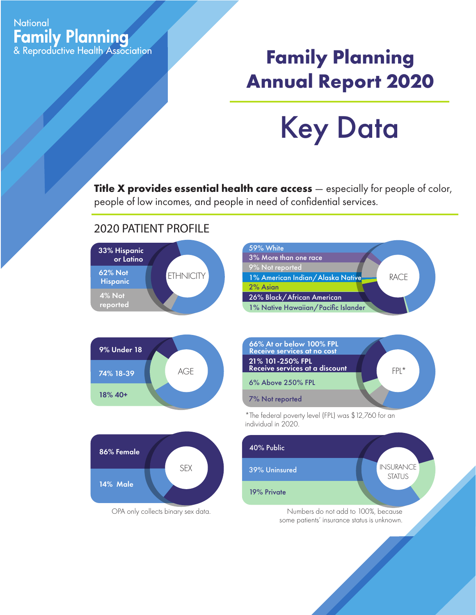## **National Family Planning**<br>& Reproductive Health Association

## **Family Planning Annual Report 2020**

Key Data

**Title X provides essential health care access** — especially for people of color, people of low incomes, and people in need of confidential services.

## 2020 PATIENT PROFILE









\*The federal poverty level (FPL) was \$12,760 for an individual in 2020.





some patients' insurance status is unknown.